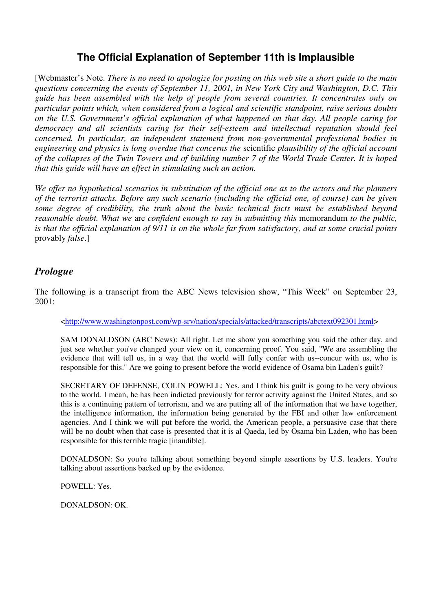# **The Official Explanation of September 11th is Implausible**

[Webmaster's Note. *There is no need to apologize for posting on this web site a short guide to the main questions concerning the events of September 11, 2001, in New York City and Washington, D.C. This guide has been assembled with the help of people from several countries. It concentrates only on particular points which, when considered from a logical and scientific standpoint, raise serious doubts on the U.S. Government's official explanation of what happened on that day. All people caring for democracy and all scientists caring for their self-esteem and intellectual reputation should feel concerned. In particular, an independent statement from non-governmental professional bodies in engineering and physics is long overdue that concerns the* scientific *plausibility of the official account of the collapses of the Twin Towers and of building number 7 of the World Trade Center. It is hoped that this guide will have an effect in stimulating such an action.* 

*We offer no hypothetical scenarios in substitution of the official one as to the actors and the planners of the terrorist attacks. Before any such scenario (including the official one, of course) can be given some degree of credibility, the truth about the basic technical facts must be established beyond reasonable doubt. What we* are *confident enough to say in submitting this* memorandum *to the public, is that the official explanation of 9/11 is on the whole far from satisfactory, and at some crucial points*  provably *false*.]

## *Prologue*

The following is a transcript from the ABC News television show, "This Week" on September 23, 2001:

#### <http://www.washingtonpost.com/wp-srv/nation/specials/attacked/transcripts/abctext092301.html>

SAM DONALDSON (ABC News): All right. Let me show you something you said the other day, and just see whether you've changed your view on it, concerning proof. You said, "We are assembling the evidence that will tell us, in a way that the world will fully confer with us--concur with us, who is responsible for this." Are we going to present before the world evidence of Osama bin Laden's guilt?

SECRETARY OF DEFENSE, COLIN POWELL: Yes, and I think his guilt is going to be very obvious to the world. I mean, he has been indicted previously for terror activity against the United States, and so this is a continuing pattern of terrorism, and we are putting all of the information that we have together, the intelligence information, the information being generated by the FBI and other law enforcement agencies. And I think we will put before the world, the American people, a persuasive case that there will be no doubt when that case is presented that it is al Qaeda, led by Osama bin Laden, who has been responsible for this terrible tragic [inaudible].

DONALDSON: So you're talking about something beyond simple assertions by U.S. leaders. You're talking about assertions backed up by the evidence.

POWELL: Yes.

DONALDSON: OK.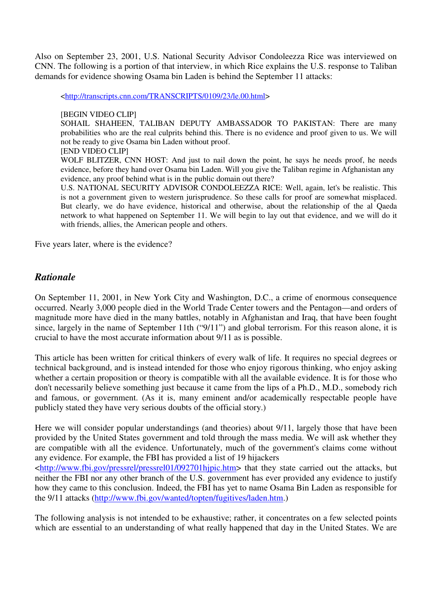Also on September 23, 2001, U.S. National Security Advisor Condoleezza Rice was interviewed on CNN. The following is a portion of that interview, in which Rice explains the U.S. response to Taliban demands for evidence showing Osama bin Laden is behind the September 11 attacks:

<http://transcripts.cnn.com/TRANSCRIPTS/0109/23/le.00.html>

#### [BEGIN VIDEO CLIP]

SOHAIL SHAHEEN, TALIBAN DEPUTY AMBASSADOR TO PAKISTAN: There are many probabilities who are the real culprits behind this. There is no evidence and proof given to us. We will not be ready to give Osama bin Laden without proof.

#### [END VIDEO CLIP]

WOLF BLITZER, CNN HOST: And just to nail down the point, he says he needs proof, he needs evidence, before they hand over Osama bin Laden. Will you give the Taliban regime in Afghanistan any evidence, any proof behind what is in the public domain out there?

U.S. NATIONAL SECURITY ADVISOR CONDOLEEZZA RICE: Well, again, let's be realistic. This is not a government given to western jurisprudence. So these calls for proof are somewhat misplaced. But clearly, we do have evidence, historical and otherwise, about the relationship of the al Qaeda network to what happened on September 11. We will begin to lay out that evidence, and we will do it with friends, allies, the American people and others.

Five years later, where is the evidence?

## *Rationale*

On September 11, 2001, in New York City and Washington, D.C., a crime of enormous consequence occurred. Nearly 3,000 people died in the World Trade Center towers and the Pentagon—and orders of magnitude more have died in the many battles, notably in Afghanistan and Iraq, that have been fought since, largely in the name of September 11th ("9/11") and global terrorism. For this reason alone, it is crucial to have the most accurate information about 9/11 as is possible.

This article has been written for critical thinkers of every walk of life. It requires no special degrees or technical background, and is instead intended for those who enjoy rigorous thinking, who enjoy asking whether a certain proposition or theory is compatible with all the available evidence. It is for those who don't necessarily believe something just because it came from the lips of a Ph.D., M.D., somebody rich and famous, or government. (As it is, many eminent and/or academically respectable people have publicly stated they have very serious doubts of the official story.)

Here we will consider popular understandings (and theories) about 9/11, largely those that have been provided by the United States government and told through the mass media. We will ask whether they are compatible with all the evidence. Unfortunately, much of the government's claims come without any evidence. For example, the FBI has provided a list of 19 hijackers <http://www.fbi.gov/pressrel/pressrel01/092701hjpic.htm> that they state carried out the attacks, but

neither the FBI nor any other branch of the U.S. government has ever provided any evidence to justify how they came to this conclusion. Indeed, the FBI has yet to name Osama Bin Laden as responsible for the 9/11 attacks (http://www.fbi.gov/wanted/topten/fugitives/laden.htm.)

The following analysis is not intended to be exhaustive; rather, it concentrates on a few selected points which are essential to an understanding of what really happened that day in the United States. We are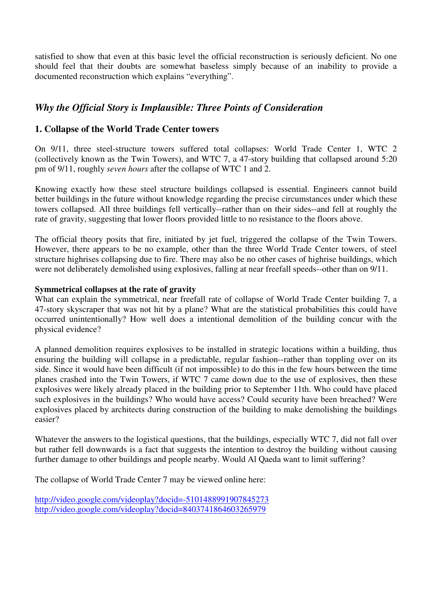satisfied to show that even at this basic level the official reconstruction is seriously deficient. No one should feel that their doubts are somewhat baseless simply because of an inability to provide a documented reconstruction which explains "everything".

# *Why the Official Story is Implausible: Three Points of Consideration*

### **1. Collapse of the World Trade Center towers**

On 9/11, three steel-structure towers suffered total collapses: World Trade Center 1, WTC 2 (collectively known as the Twin Towers), and WTC 7, a 47-story building that collapsed around 5:20 pm of 9/11, roughly *seven hours* after the collapse of WTC 1 and 2.

Knowing exactly how these steel structure buildings collapsed is essential. Engineers cannot build better buildings in the future without knowledge regarding the precise circumstances under which these towers collapsed. All three buildings fell vertically--rather than on their sides--and fell at roughly the rate of gravity, suggesting that lower floors provided little to no resistance to the floors above.

The official theory posits that fire, initiated by jet fuel, triggered the collapse of the Twin Towers. However, there appears to be no example, other than the three World Trade Center towers, of steel structure highrises collapsing due to fire. There may also be no other cases of highrise buildings, which were not deliberately demolished using explosives, falling at near freefall speeds--other than on 9/11.

#### **Symmetrical collapses at the rate of gravity**

What can explain the symmetrical, near freefall rate of collapse of World Trade Center building 7, a 47-story skyscraper that was not hit by a plane? What are the statistical probabilities this could have occurred unintentionally? How well does a intentional demolition of the building concur with the physical evidence?

A planned demolition requires explosives to be installed in strategic locations within a building, thus ensuring the building will collapse in a predictable, regular fashion--rather than toppling over on its side. Since it would have been difficult (if not impossible) to do this in the few hours between the time planes crashed into the Twin Towers, if WTC 7 came down due to the use of explosives, then these explosives were likely already placed in the building prior to September 11th. Who could have placed such explosives in the buildings? Who would have access? Could security have been breached? Were explosives placed by architects during construction of the building to make demolishing the buildings easier?

Whatever the answers to the logistical questions, that the buildings, especially WTC 7, did not fall over but rather fell downwards is a fact that suggests the intention to destroy the building without causing further damage to other buildings and people nearby. Would Al Qaeda want to limit suffering?

The collapse of World Trade Center 7 may be viewed online here:

http://video.google.com/videoplay?docid=-5101488991907845273 http://video.google.com/videoplay?docid=8403741864603265979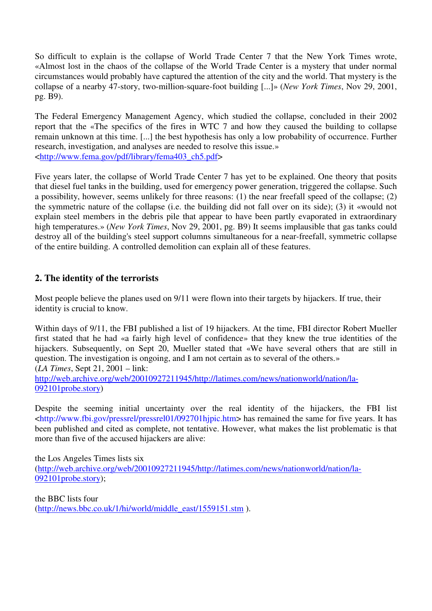So difficult to explain is the collapse of World Trade Center 7 that the New York Times wrote, «Almost lost in the chaos of the collapse of the World Trade Center is a mystery that under normal circumstances would probably have captured the attention of the city and the world. That mystery is the collapse of a nearby 47-story, two-million-square-foot building [...]» (*New York Times*, Nov 29, 2001, pg. B9).

The Federal Emergency Management Agency, which studied the collapse, concluded in their 2002 report that the «The specifics of the fires in WTC 7 and how they caused the building to collapse remain unknown at this time. [...] the best hypothesis has only a low probability of occurrence. Further research, investigation, and analyses are needed to resolve this issue.» <http://www.fema.gov/pdf/library/fema403\_ch5.pdf>

Five years later, the collapse of World Trade Center 7 has yet to be explained. One theory that posits that diesel fuel tanks in the building, used for emergency power generation, triggered the collapse. Such a possibility, however, seems unlikely for three reasons: (1) the near freefall speed of the collapse; (2) the symmetric nature of the collapse (i.e. the building did not fall over on its side); (3) it «would not explain steel members in the debris pile that appear to have been partly evaporated in extraordinary high temperatures.» (*New York Times*, Nov 29, 2001, pg. B9) It seems implausible that gas tanks could destroy all of the building's steel support columns simultaneous for a near-freefall, symmetric collapse of the entire building. A controlled demolition can explain all of these features.

## **2. The identity of the terrorists**

Most people believe the planes used on 9/11 were flown into their targets by hijackers. If true, their identity is crucial to know.

Within days of 9/11, the FBI published a list of 19 hijackers. At the time, FBI director Robert Mueller first stated that he had «a fairly high level of confidence» that they knew the true identities of the hijackers. Subsequently, on Sept 20, Mueller stated that «We have several others that are still in question. The investigation is ongoing, and I am not certain as to several of the others.» (*LA Times*, Sept 21, 2001 – link:

http://web.archive.org/web/20010927211945/http://latimes.com/news/nationworld/nation/la-092101probe.story)

Despite the seeming initial uncertainty over the real identity of the hijackers, the FBI list <http://www.fbi.gov/pressrel/pressrel01/092701hjpic.htm> has remained the same for five years. It has been published and cited as complete, not tentative. However, what makes the list problematic is that more than five of the accused hijackers are alive:

the Los Angeles Times lists six (http://web.archive.org/web/20010927211945/http://latimes.com/news/nationworld/nation/la-092101probe.story);

the BBC lists four (http://news.bbc.co.uk/1/hi/world/middle\_east/1559151.stm ).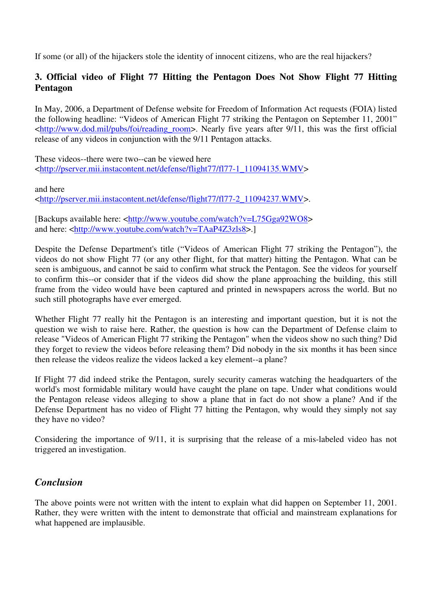If some (or all) of the hijackers stole the identity of innocent citizens, who are the real hijackers?

## **3. Official video of Flight 77 Hitting the Pentagon Does Not Show Flight 77 Hitting Pentagon**

In May, 2006, a Department of Defense website for Freedom of Information Act requests (FOIA) listed the following headline: "Videos of American Flight 77 striking the Pentagon on September 11, 2001" <http://www.dod.mil/pubs/foi/reading\_room>. Nearly five years after 9/11, this was the first official release of any videos in conjunction with the 9/11 Pentagon attacks.

These videos--there were two--can be viewed here <http://pserver.mii.instacontent.net/defense/flight77/fl77-1\_11094135.WMV>

and here

<http://pserver.mii.instacontent.net/defense/flight77/fl77-2\_11094237.WMV>.

[Backups available here: <http://www.youtube.com/watch?v=L75Gga92WO8> and here: <http://www.youtube.com/watch?v=TAaP4Z3zls8>.]

Despite the Defense Department's title ("Videos of American Flight 77 striking the Pentagon"), the videos do not show Flight 77 (or any other flight, for that matter) hitting the Pentagon. What can be seen is ambiguous, and cannot be said to confirm what struck the Pentagon. See the videos for yourself to confirm this--or consider that if the videos did show the plane approaching the building, this still frame from the video would have been captured and printed in newspapers across the world. But no such still photographs have ever emerged.

Whether Flight 77 really hit the Pentagon is an interesting and important question, but it is not the question we wish to raise here. Rather, the question is how can the Department of Defense claim to release "Videos of American Flight 77 striking the Pentagon" when the videos show no such thing? Did they forget to review the videos before releasing them? Did nobody in the six months it has been since then release the videos realize the videos lacked a key element--a plane?

If Flight 77 did indeed strike the Pentagon, surely security cameras watching the headquarters of the world's most formidable military would have caught the plane on tape. Under what conditions would the Pentagon release videos alleging to show a plane that in fact do not show a plane? And if the Defense Department has no video of Flight 77 hitting the Pentagon, why would they simply not say they have no video?

Considering the importance of 9/11, it is surprising that the release of a mis-labeled video has not triggered an investigation.

## *Conclusion*

The above points were not written with the intent to explain what did happen on September 11, 2001. Rather, they were written with the intent to demonstrate that official and mainstream explanations for what happened are implausible.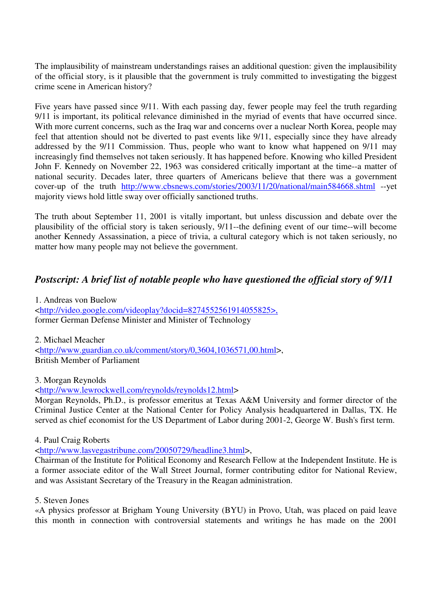The implausibility of mainstream understandings raises an additional question: given the implausibility of the official story, is it plausible that the government is truly committed to investigating the biggest crime scene in American history?

Five years have passed since 9/11. With each passing day, fewer people may feel the truth regarding 9/11 is important, its political relevance diminished in the myriad of events that have occurred since. With more current concerns, such as the Iraq war and concerns over a nuclear North Korea, people may feel that attention should not be diverted to past events like 9/11, especially since they have already addressed by the 9/11 Commission. Thus, people who want to know what happened on 9/11 may increasingly find themselves not taken seriously. It has happened before. Knowing who killed President John F. Kennedy on November 22, 1963 was considered critically important at the time--a matter of national security. Decades later, three quarters of Americans believe that there was a government cover-up of the truth http://www.cbsnews.com/stories/2003/11/20/national/main584668.shtml --yet majority views hold little sway over officially sanctioned truths.

The truth about September 11, 2001 is vitally important, but unless discussion and debate over the plausibility of the official story is taken seriously, 9/11--the defining event of our time--will become another Kennedy Assassination, a piece of trivia, a cultural category which is not taken seriously, no matter how many people may not believe the government.

## *Postscript: A brief list of notable people who have questioned the official story of 9/11*

1. Andreas von Buelow <http://video.google.com/videoplay?docid=8274552561914055825>, former German Defense Minister and Minister of Technology

2. Michael Meacher <http://www.guardian.co.uk/comment/story/0,3604,1036571,00.html>, British Member of Parliament

3. Morgan Reynolds

<http://www.lewrockwell.com/reynolds/reynolds12.html>

Morgan Reynolds, Ph.D., is professor emeritus at Texas A&M University and former director of the Criminal Justice Center at the National Center for Policy Analysis headquartered in Dallas, TX. He served as chief economist for the US Department of Labor during 2001-2, George W. Bush's first term.

4. Paul Craig Roberts

<http://www.lasvegastribune.com/20050729/headline3.html>,

Chairman of the Institute for Political Economy and Research Fellow at the Independent Institute. He is a former associate editor of the Wall Street Journal, former contributing editor for National Review, and was Assistant Secretary of the Treasury in the Reagan administration.

5. Steven Jones

«A physics professor at Brigham Young University (BYU) in Provo, Utah, was placed on paid leave this month in connection with controversial statements and writings he has made on the 2001